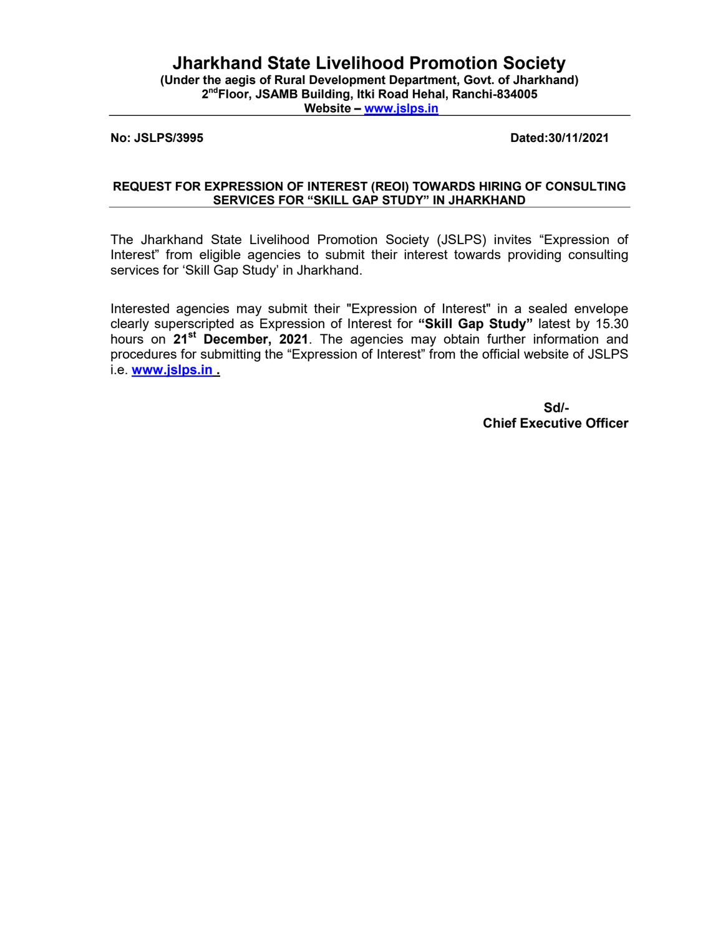# Jharkhand State Livelihood Promotion Society

(Under the aegis of Rural Development Department, Govt. of Jharkhand) 2<sup>nd</sup>Floor, JSAMB Building, Itki Road Hehal, Ranchi-834005 Website – www.jslps.in

### No: JSLPS/3995 Dated:30/11/2021

## REQUEST FOR EXPRESSION OF INTEREST (REOI) TOWARDS HIRING OF CONSULTING SERVICES FOR "SKILL GAP STUDY" IN JHARKHAND

The Jharkhand State Livelihood Promotion Society (JSLPS) invites "Expression of Interest" from eligible agencies to submit their interest towards providing consulting services for 'Skill Gap Study' in Jharkhand.

Interested agencies may submit their "Expression of Interest" in a sealed envelope clearly superscripted as Expression of Interest for "Skill Gap Study" latest by 15.30 hours on 21<sup>st</sup> December, 2021. The agencies may obtain further information and procedures for submitting the "Expression of Interest" from the official website of JSLPS i.e. www.jslps.in.

 $S$ d/- $S$ d/- $S$ d/- $S$ d/- $S$ d/- $S$ d/- $S$ d/- $S$ d/- $S$ d/- $S$ d/- $S$ d/- $S$ d/- $S$ d/- $S$ d/- $S$ d/- $S$ d/- $S$ d/- $S$ d/- $S$ d/- $S$ d/- $S$ d/- $S$ d/- $S$ d/- $S$ d/- $S$ d/- $S$ d/- $S$ d/- $S$ d/- $S$ d/- $S$ d/- $S$ d/- $S$ d/- $S$ d/- $S$ d/- $S$ d/- $S$ d/- $S$ d/ Chief Executive Officer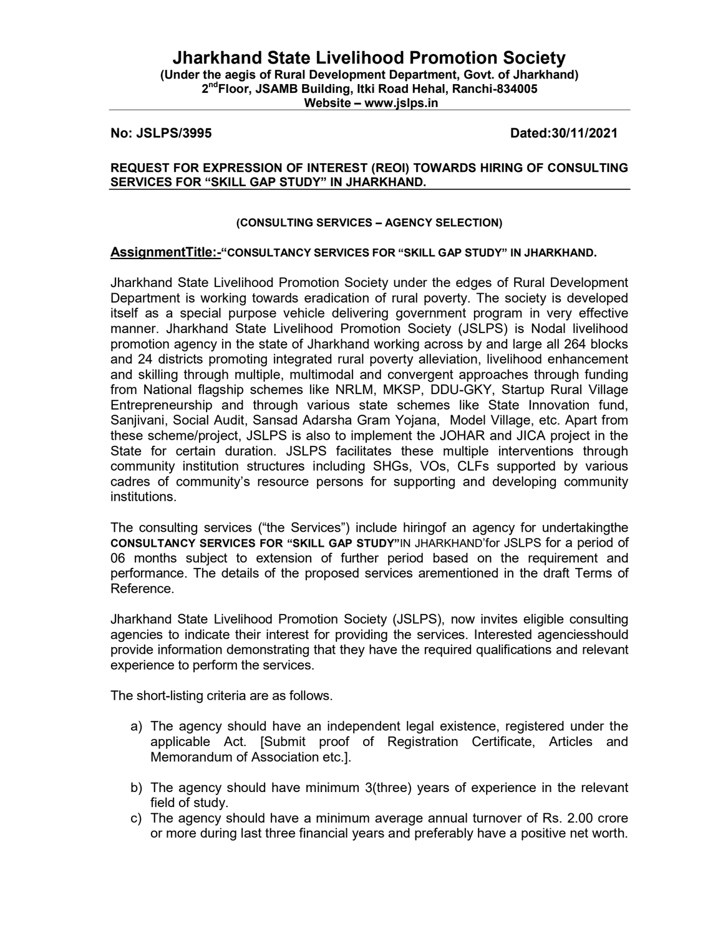# Jharkhand State Livelihood Promotion Society

(Under the aegis of Rural Development Department, Govt. of Jharkhand) 2<sup>nd</sup>Floor, JSAMB Building, Itki Road Hehal, Ranchi-834005

Website – www.jslps.in

## No: JSLPS/3995 Dated:30/11/2021

### REQUEST FOR EXPRESSION OF INTEREST (REOI) TOWARDS HIRING OF CONSULTING SERVICES FOR "SKILL GAP STUDY" IN JHARKHAND.

### (CONSULTING SERVICES – AGENCY SELECTION)

## AssignmentTitle:-"CONSULTANCY SERVICES FOR "SKILL GAP STUDY" IN JHARKHAND.

Jharkhand State Livelihood Promotion Society under the edges of Rural Development Department is working towards eradication of rural poverty. The society is developed itself as a special purpose vehicle delivering government program in very effective manner. Jharkhand State Livelihood Promotion Society (JSLPS) is Nodal livelihood promotion agency in the state of Jharkhand working across by and large all 264 blocks and 24 districts promoting integrated rural poverty alleviation, livelihood enhancement and skilling through multiple, multimodal and convergent approaches through funding from National flagship schemes like NRLM, MKSP, DDU-GKY, Startup Rural Village Entrepreneurship and through various state schemes like State Innovation fund, Sanjivani, Social Audit, Sansad Adarsha Gram Yojana, Model Village, etc. Apart from these scheme/project, JSLPS is also to implement the JOHAR and JICA project in the State for certain duration. JSLPS facilitates these multiple interventions through community institution structures including SHGs, VOs, CLFs supported by various cadres of community's resource persons for supporting and developing community institutions.

The consulting services ("the Services") include hiringof an agency for undertakingthe CONSULTANCY SERVICES FOR "SKILL GAP STUDY"IN JHARKHAND'for JSLPS for a period of 06 months subject to extension of further period based on the requirement and performance. The details of the proposed services arementioned in the draft Terms of Reference.

Jharkhand State Livelihood Promotion Society (JSLPS), now invites eligible consulting agencies to indicate their interest for providing the services. Interested agenciesshould provide information demonstrating that they have the required qualifications and relevant experience to perform the services.

The short-listing criteria are as follows.

- a) The agency should have an independent legal existence, registered under the applicable Act. [Submit proof of Registration Certificate, Articles and Memorandum of Association etc.].
- b) The agency should have minimum 3(three) years of experience in the relevant field of study.
- c) The agency should have a minimum average annual turnover of Rs. 2.00 crore or more during last three financial years and preferably have a positive net worth.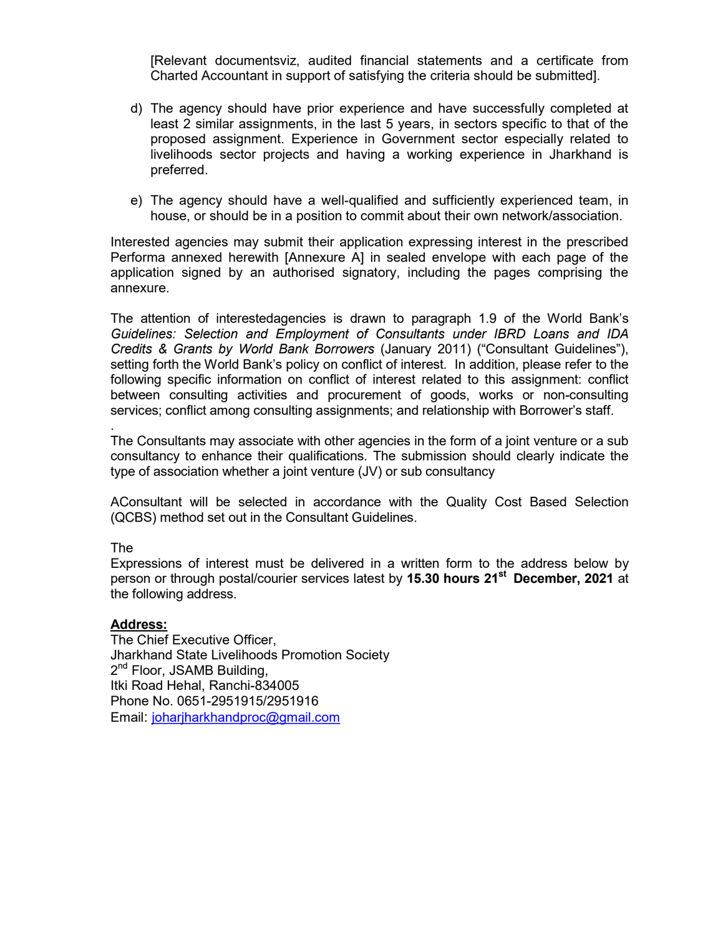[Relevant documentsviz, audited financial statements and a certificate from Charted Accountant in support of satisfying the criteria should be submitted].

- d) The agency should have prior experience and have successfully completed at least 2 similar assignments, in the last 5 years, in sectors specific to that of the proposed assignment. Experience in Government sector especially related to livelihoods sector projects and having a working experience in Jharkhand is preferred.
- e) The agency should have a well-qualified and sufficiently experienced team, in house, or should be in a position to commit about their own network/association.

Interested agencies may submit their application expressing interest in the prescribed Performa annexed herewith [Annexure A] in sealed envelope with each page of the application signed by an authorised signatory, including the pages comprising the annexure.

The attention of interestedagencies is drawn to paragraph 1.9 of the World Bank's Guidelines: Selection and Employment of Consultants under IBRD Loans and IDA Credits & Grants by World Bank Borrowers (January 2011) ("Consultant Guidelines"), setting forth the World Bank's policy on conflict of interest. In addition, please refer to the following specific information on conflict of interest related to this assignment: conflict between consulting activities and procurement of goods, works or non-consulting services; conflict among consulting assignments; and relationship with Borrower's staff.

The Consultants may associate with other agencies in the form of a joint venture or a sub consultancy to enhance their qualifications. The submission should clearly indicate the type of association whether a joint venture (JV) or sub consultancy

AConsultant will be selected in accordance with the Quality Cost Based Selection (QCBS) method set out in the Consultant Guidelines.

## The

.

Expressions of interest must be delivered in a written form to the address below by person or through postal/courier services latest by 15.30 hours 21<sup>st</sup> December, 2021 at the following address.

## Address:

The Chief Executive Officer, Jharkhand State Livelihoods Promotion Society 2<sup>nd</sup> Floor, JSAMB Building, Itki Road Hehal, Ranchi-834005 Phone No. 0651-2951915/2951916 Email: joharjharkhandproc@gmail.com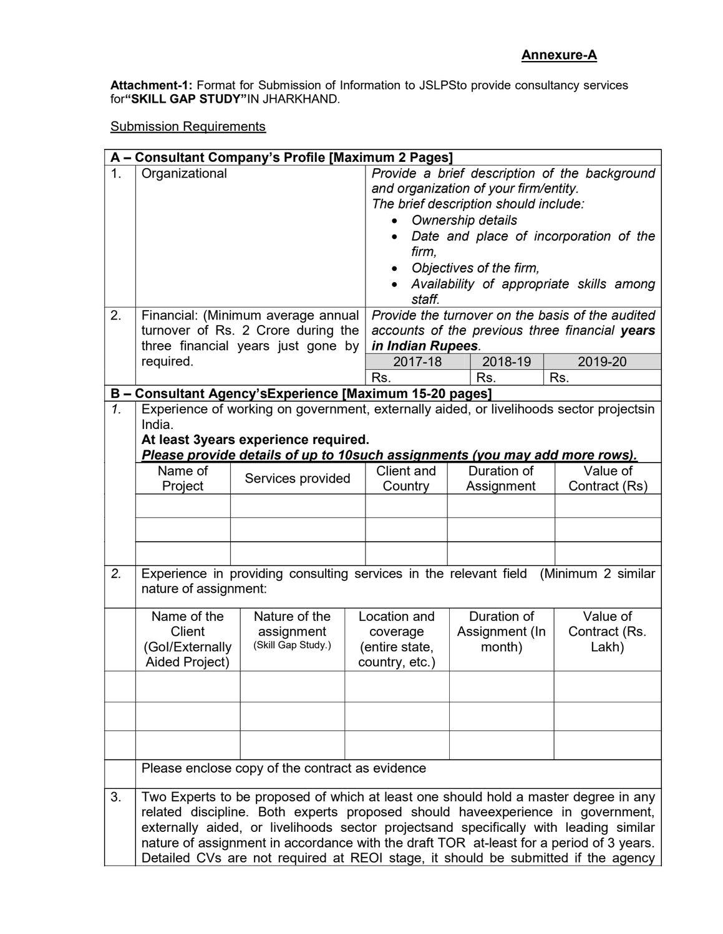Attachment-1: Format for Submission of Information to JSLPSto provide consultancy services for"SKILL GAP STUDY"IN JHARKHAND.

Submission Requirements

|                      | A - Consultant Company's Profile [Maximum 2 Pages]                                                                                                                                                                                                                                                                                                                                                                                             |                                                                                      |  |                                                                                                                                                                                                                                                                                                                                                                                                                                                             |  |                          |  |                        |
|----------------------|------------------------------------------------------------------------------------------------------------------------------------------------------------------------------------------------------------------------------------------------------------------------------------------------------------------------------------------------------------------------------------------------------------------------------------------------|--------------------------------------------------------------------------------------|--|-------------------------------------------------------------------------------------------------------------------------------------------------------------------------------------------------------------------------------------------------------------------------------------------------------------------------------------------------------------------------------------------------------------------------------------------------------------|--|--------------------------|--|------------------------|
| $\mathbf{1}$ .<br>2. | Organizational<br>Financial: (Minimum average annual<br>turnover of Rs. 2 Crore during the<br>three financial years just gone by<br>required.                                                                                                                                                                                                                                                                                                  |                                                                                      |  | Provide a brief description of the background<br>and organization of your firm/entity.<br>The brief description should include:<br>Ownership details<br>Date and place of incorporation of the<br>firm,<br>Objectives of the firm,<br>Availability of appropriate skills among<br>staff.<br>Provide the turnover on the basis of the audited<br>accounts of the previous three financial years<br>in Indian Rupees.<br>2018-19<br>2017-18<br>2019-20<br>Rs. |  |                          |  |                        |
|                      |                                                                                                                                                                                                                                                                                                                                                                                                                                                |                                                                                      |  | Rs.                                                                                                                                                                                                                                                                                                                                                                                                                                                         |  | Rs.                      |  |                        |
| $\mathbf{1}$ .       | B - Consultant Agency's Experience [Maximum 15-20 pages]<br>Experience of working on government, externally aided, or livelihoods sector projectsin<br>India.<br>At least 3years experience required.<br>Please provide details of up to 10such assignments (you may add more rows).                                                                                                                                                           |                                                                                      |  |                                                                                                                                                                                                                                                                                                                                                                                                                                                             |  |                          |  |                        |
|                      | Name of                                                                                                                                                                                                                                                                                                                                                                                                                                        |                                                                                      |  | <b>Client and</b>                                                                                                                                                                                                                                                                                                                                                                                                                                           |  | Duration of              |  | Value of               |
|                      | Project                                                                                                                                                                                                                                                                                                                                                                                                                                        | Services provided                                                                    |  | Country                                                                                                                                                                                                                                                                                                                                                                                                                                                     |  | Assignment               |  | Contract (Rs)          |
|                      |                                                                                                                                                                                                                                                                                                                                                                                                                                                |                                                                                      |  |                                                                                                                                                                                                                                                                                                                                                                                                                                                             |  |                          |  |                        |
|                      |                                                                                                                                                                                                                                                                                                                                                                                                                                                |                                                                                      |  |                                                                                                                                                                                                                                                                                                                                                                                                                                                             |  |                          |  |                        |
| 2.                   | nature of assignment:                                                                                                                                                                                                                                                                                                                                                                                                                          | Experience in providing consulting services in the relevant field (Minimum 2 similar |  |                                                                                                                                                                                                                                                                                                                                                                                                                                                             |  |                          |  |                        |
|                      | Name of the                                                                                                                                                                                                                                                                                                                                                                                                                                    | Nature of the                                                                        |  | Location and                                                                                                                                                                                                                                                                                                                                                                                                                                                |  | Duration of              |  | Value of               |
|                      | <b>Client</b><br>(Gol/Externally<br>Aided Project)                                                                                                                                                                                                                                                                                                                                                                                             | assignment<br>(Skill Gap Study.)                                                     |  | coverage<br>(entire state,<br>country, etc.)                                                                                                                                                                                                                                                                                                                                                                                                                |  | Assignment (In<br>month) |  | Contract (Rs.<br>Lakh) |
|                      |                                                                                                                                                                                                                                                                                                                                                                                                                                                |                                                                                      |  |                                                                                                                                                                                                                                                                                                                                                                                                                                                             |  |                          |  |                        |
|                      |                                                                                                                                                                                                                                                                                                                                                                                                                                                |                                                                                      |  |                                                                                                                                                                                                                                                                                                                                                                                                                                                             |  |                          |  |                        |
|                      |                                                                                                                                                                                                                                                                                                                                                                                                                                                |                                                                                      |  |                                                                                                                                                                                                                                                                                                                                                                                                                                                             |  |                          |  |                        |
|                      | Please enclose copy of the contract as evidence                                                                                                                                                                                                                                                                                                                                                                                                |                                                                                      |  |                                                                                                                                                                                                                                                                                                                                                                                                                                                             |  |                          |  |                        |
| 3.                   | Two Experts to be proposed of which at least one should hold a master degree in any<br>related discipline. Both experts proposed should haveexperience in government,<br>externally aided, or livelihoods sector projectsand specifically with leading similar<br>nature of assignment in accordance with the draft TOR at-least for a period of 3 years.<br>Detailed CVs are not required at REOI stage, it should be submitted if the agency |                                                                                      |  |                                                                                                                                                                                                                                                                                                                                                                                                                                                             |  |                          |  |                        |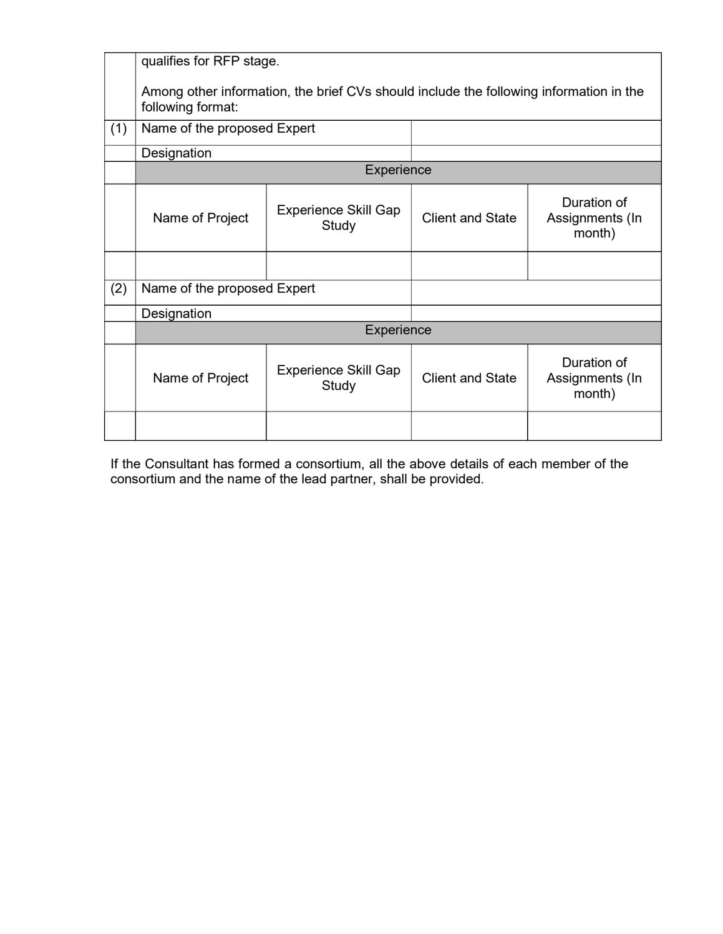|     | qualifies for RFP stage.                                                                                    |                                      |                         |                                          |  |  |  |  |
|-----|-------------------------------------------------------------------------------------------------------------|--------------------------------------|-------------------------|------------------------------------------|--|--|--|--|
|     | Among other information, the brief CVs should include the following information in the<br>following format: |                                      |                         |                                          |  |  |  |  |
| (1) | Name of the proposed Expert                                                                                 |                                      |                         |                                          |  |  |  |  |
|     | Designation                                                                                                 |                                      |                         |                                          |  |  |  |  |
|     |                                                                                                             | Experience                           |                         |                                          |  |  |  |  |
|     | Name of Project                                                                                             | <b>Experience Skill Gap</b><br>Study | <b>Client and State</b> | Duration of<br>Assignments (In<br>month) |  |  |  |  |
|     |                                                                                                             |                                      |                         |                                          |  |  |  |  |
| (2) | Name of the proposed Expert                                                                                 |                                      |                         |                                          |  |  |  |  |
|     | Designation                                                                                                 |                                      |                         |                                          |  |  |  |  |
|     | Experience                                                                                                  |                                      |                         |                                          |  |  |  |  |
|     | Name of Project                                                                                             | <b>Experience Skill Gap</b><br>Study | <b>Client and State</b> | Duration of<br>Assignments (In<br>month) |  |  |  |  |
|     |                                                                                                             |                                      |                         |                                          |  |  |  |  |

If the Consultant has formed a consortium, all the above details of each member of the consortium and the name of the lead partner, shall be provided.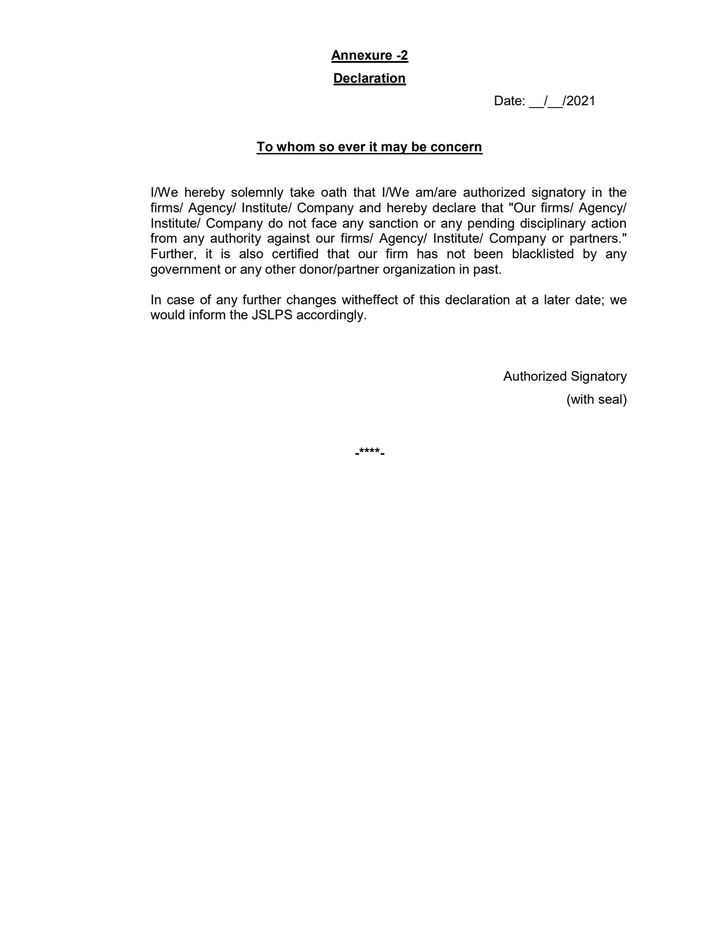# Annexure -2

## **Declaration**

Date: / /2021

# To whom so ever it may be concern

I/We hereby solemnly take oath that I/We am/are authorized signatory in the firms/ Agency/ Institute/ Company and hereby declare that "Our firms/ Agency/ Institute/ Company do not face any sanction or any pending disciplinary action from any authority against our firms/ Agency/ Institute/ Company or partners." Further, it is also certified that our firm has not been blacklisted by any government or any other donor/partner organization in past.

In case of any further changes witheffect of this declaration at a later date; we would inform the JSLPS accordingly.

> Authorized Signatory (with seal)

-\*\*\*\*-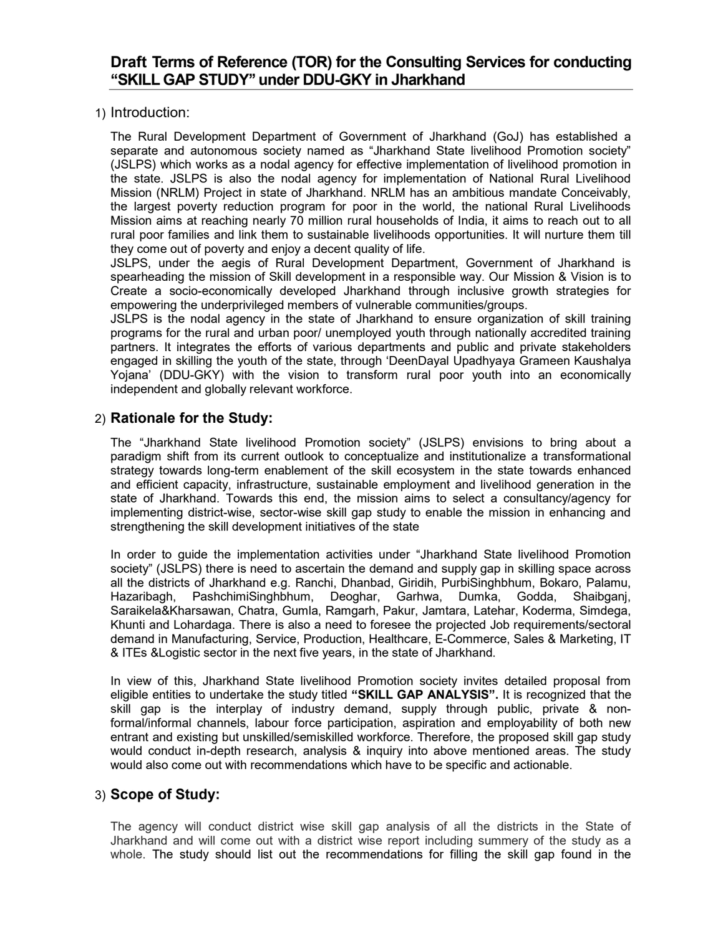# Draft Terms of Reference (TOR) for the Consulting Services for conducting ''SKILL GAP STUDY'' under DDU-GKY in Jharkhand

1) Introduction:

The Rural Development Department of Government of Jharkhand (GoJ) has established a separate and autonomous society named as "Jharkhand State livelihood Promotion society" (JSLPS) which works as a nodal agency for effective implementation of livelihood promotion in the state. JSLPS is also the nodal agency for implementation of National Rural Livelihood Mission (NRLM) Project in state of Jharkhand. NRLM has an ambitious mandate Conceivably, the largest poverty reduction program for poor in the world, the national Rural Livelihoods Mission aims at reaching nearly 70 million rural households of India, it aims to reach out to all rural poor families and link them to sustainable livelihoods opportunities. It will nurture them till they come out of poverty and enjoy a decent quality of life.

JSLPS, under the aegis of Rural Development Department, Government of Jharkhand is spearheading the mission of Skill development in a responsible way. Our Mission & Vision is to Create a socio-economically developed Jharkhand through inclusive growth strategies for empowering the underprivileged members of vulnerable communities/groups.

JSLPS is the nodal agency in the state of Jharkhand to ensure organization of skill training programs for the rural and urban poor/ unemployed youth through nationally accredited training partners. It integrates the efforts of various departments and public and private stakeholders engaged in skilling the youth of the state, through 'DeenDayal Upadhyaya Grameen Kaushalya Yojana' (DDU-GKY) with the vision to transform rural poor youth into an economically independent and globally relevant workforce.

# 2) Rationale for the Study:

The "Jharkhand State livelihood Promotion society" (JSLPS) envisions to bring about a paradigm shift from its current outlook to conceptualize and institutionalize a transformational strategy towards long-term enablement of the skill ecosystem in the state towards enhanced and efficient capacity, infrastructure, sustainable employment and livelihood generation in the state of Jharkhand. Towards this end, the mission aims to select a consultancy/agency for implementing district-wise, sector-wise skill gap study to enable the mission in enhancing and strengthening the skill development initiatives of the state

In order to guide the implementation activities under "Jharkhand State livelihood Promotion society" (JSLPS) there is need to ascertain the demand and supply gap in skilling space across all the districts of Jharkhand e.g. Ranchi, Dhanbad, Giridih, PurbiSinghbhum, Bokaro, Palamu, Hazaribagh, PashchimiSinghbhum, Deoghar, Garhwa, Dumka, Godda, Shaibganj, Saraikela&Kharsawan, Chatra, Gumla, Ramgarh, Pakur, Jamtara, Latehar, Koderma, Simdega, Khunti and Lohardaga. There is also a need to foresee the projected Job requirements/sectoral demand in Manufacturing, Service, Production, Healthcare, E-Commerce, Sales & Marketing, IT & ITEs &Logistic sector in the next five years, in the state of Jharkhand.

In view of this, Jharkhand State livelihood Promotion society invites detailed proposal from eligible entities to undertake the study titled "SKILL GAP ANALYSIS". It is recognized that the skill gap is the interplay of industry demand, supply through public, private & nonformal/informal channels, labour force participation, aspiration and employability of both new entrant and existing but unskilled/semiskilled workforce. Therefore, the proposed skill gap study would conduct in-depth research, analysis & inquiry into above mentioned areas. The study would also come out with recommendations which have to be specific and actionable.

## 3) Scope of Study:

The agency will conduct district wise skill gap analysis of all the districts in the State of Jharkhand and will come out with a district wise report including summery of the study as a whole. The study should list out the recommendations for filling the skill gap found in the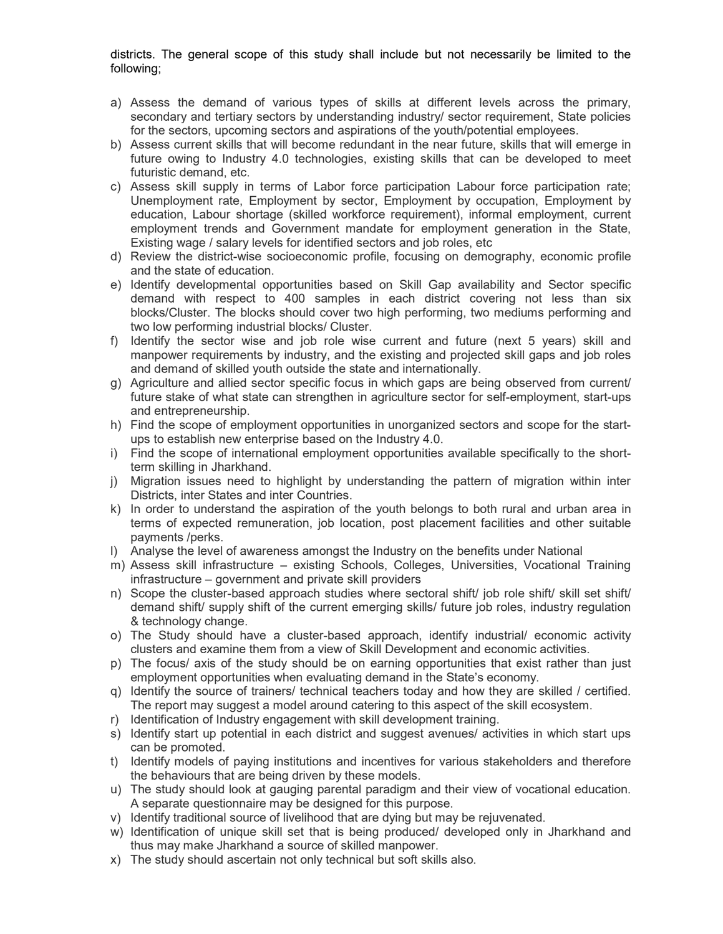districts. The general scope of this study shall include but not necessarily be limited to the following;

- a) Assess the demand of various types of skills at different levels across the primary, secondary and tertiary sectors by understanding industry/ sector requirement, State policies for the sectors, upcoming sectors and aspirations of the youth/potential employees.
- b) Assess current skills that will become redundant in the near future, skills that will emerge in future owing to Industry 4.0 technologies, existing skills that can be developed to meet futuristic demand, etc.
- c) Assess skill supply in terms of Labor force participation Labour force participation rate; Unemployment rate, Employment by sector, Employment by occupation, Employment by education, Labour shortage (skilled workforce requirement), informal employment, current employment trends and Government mandate for employment generation in the State, Existing wage / salary levels for identified sectors and job roles, etc
- d) Review the district-wise socioeconomic profile, focusing on demography, economic profile and the state of education.
- e) Identify developmental opportunities based on Skill Gap availability and Sector specific demand with respect to 400 samples in each district covering not less than six blocks/Cluster. The blocks should cover two high performing, two mediums performing and two low performing industrial blocks/ Cluster.
- f) Identify the sector wise and job role wise current and future (next 5 years) skill and manpower requirements by industry, and the existing and projected skill gaps and job roles and demand of skilled youth outside the state and internationally.
- g) Agriculture and allied sector specific focus in which gaps are being observed from current/ future stake of what state can strengthen in agriculture sector for self-employment, start-ups and entrepreneurship.
- h) Find the scope of employment opportunities in unorganized sectors and scope for the startups to establish new enterprise based on the Industry 4.0.
- i) Find the scope of international employment opportunities available specifically to the shortterm skilling in Jharkhand.
- j) Migration issues need to highlight by understanding the pattern of migration within inter Districts, inter States and inter Countries.
- k) In order to understand the aspiration of the youth belongs to both rural and urban area in terms of expected remuneration, job location, post placement facilities and other suitable payments /perks.
- l) Analyse the level of awareness amongst the Industry on the benefits under National
- m) Assess skill infrastructure existing Schools, Colleges, Universities, Vocational Training infrastructure – government and private skill providers
- n) Scope the cluster-based approach studies where sectoral shift/ job role shift/ skill set shift/ demand shift/ supply shift of the current emerging skills/ future job roles, industry regulation & technology change.
- o) The Study should have a cluster-based approach, identify industrial/ economic activity clusters and examine them from a view of Skill Development and economic activities.
- p) The focus/ axis of the study should be on earning opportunities that exist rather than just employment opportunities when evaluating demand in the State's economy.
- q) Identify the source of trainers/ technical teachers today and how they are skilled / certified. The report may suggest a model around catering to this aspect of the skill ecosystem.
- r) Identification of Industry engagement with skill development training.
- s) Identify start up potential in each district and suggest avenues/ activities in which start ups can be promoted.
- t) Identify models of paying institutions and incentives for various stakeholders and therefore the behaviours that are being driven by these models.
- u) The study should look at gauging parental paradigm and their view of vocational education. A separate questionnaire may be designed for this purpose.
- v) Identify traditional source of livelihood that are dying but may be rejuvenated.
- w) Identification of unique skill set that is being produced/ developed only in Jharkhand and thus may make Jharkhand a source of skilled manpower.
- x) The study should ascertain not only technical but soft skills also.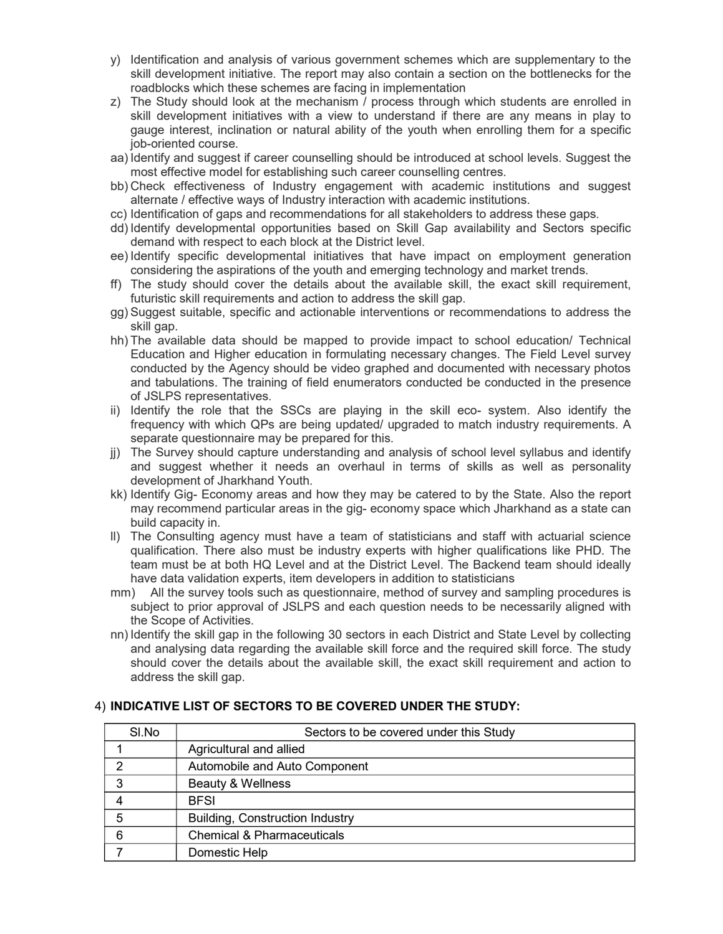- y) Identification and analysis of various government schemes which are supplementary to the skill development initiative. The report may also contain a section on the bottlenecks for the roadblocks which these schemes are facing in implementation
- z) The Study should look at the mechanism / process through which students are enrolled in skill development initiatives with a view to understand if there are any means in play to gauge interest, inclination or natural ability of the youth when enrolling them for a specific job-oriented course.
- aa) Identify and suggest if career counselling should be introduced at school levels. Suggest the most effective model for establishing such career counselling centres.
- bb) Check effectiveness of Industry engagement with academic institutions and suggest alternate / effective ways of Industry interaction with academic institutions.
- cc) Identification of gaps and recommendations for all stakeholders to address these gaps.
- dd) Identify developmental opportunities based on Skill Gap availability and Sectors specific demand with respect to each block at the District level.
- ee) Identify specific developmental initiatives that have impact on employment generation considering the aspirations of the youth and emerging technology and market trends.
- ff) The study should cover the details about the available skill, the exact skill requirement, futuristic skill requirements and action to address the skill gap.
- gg) Suggest suitable, specific and actionable interventions or recommendations to address the skill gap.
- hh) The available data should be mapped to provide impact to school education/ Technical Education and Higher education in formulating necessary changes. The Field Level survey conducted by the Agency should be video graphed and documented with necessary photos and tabulations. The training of field enumerators conducted be conducted in the presence of JSLPS representatives.
- ii) Identify the role that the SSCs are playing in the skill eco- system. Also identify the frequency with which QPs are being updated/ upgraded to match industry requirements. A separate questionnaire may be prepared for this.
- jj) The Survey should capture understanding and analysis of school level syllabus and identify and suggest whether it needs an overhaul in terms of skills as well as personality development of Jharkhand Youth.
- kk) Identify Gig- Economy areas and how they may be catered to by the State. Also the report may recommend particular areas in the gig- economy space which Jharkhand as a state can build capacity in.
- ll) The Consulting agency must have a team of statisticians and staff with actuarial science qualification. There also must be industry experts with higher qualifications like PHD. The team must be at both HQ Level and at the District Level. The Backend team should ideally have data validation experts, item developers in addition to statisticians
- mm) All the survey tools such as questionnaire, method of survey and sampling procedures is subject to prior approval of JSLPS and each question needs to be necessarily aligned with the Scope of Activities.
- nn) Identify the skill gap in the following 30 sectors in each District and State Level by collecting and analysing data regarding the available skill force and the required skill force. The study should cover the details about the available skill, the exact skill requirement and action to address the skill gap.

| SI.No | Sectors to be covered under this Study |
|-------|----------------------------------------|
|       | Agricultural and allied                |
| າ     | Automobile and Auto Component          |
| 3     | Beauty & Wellness                      |
|       | <b>BFSI</b>                            |
| 5     | <b>Building, Construction Industry</b> |
| 6     | <b>Chemical &amp; Pharmaceuticals</b>  |
|       | Domestic Help                          |

## 4) INDICATIVE LIST OF SECTORS TO BE COVERED UNDER THE STUDY: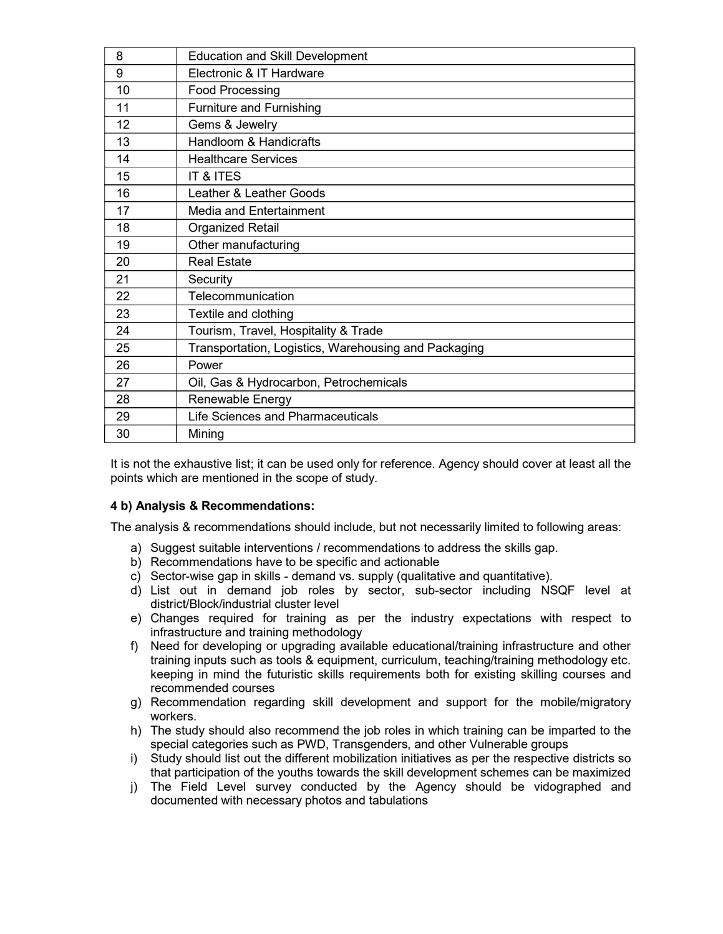| 8  | <b>Education and Skill Development</b>               |
|----|------------------------------------------------------|
| 9  | Electronic & IT Hardware                             |
| 10 | <b>Food Processing</b>                               |
| 11 | <b>Furniture and Furnishing</b>                      |
| 12 | Gems & Jewelry                                       |
| 13 | Handloom & Handicrafts                               |
| 14 | <b>Healthcare Services</b>                           |
| 15 | IT & ITES                                            |
| 16 | Leather & Leather Goods                              |
| 17 | Media and Entertainment                              |
| 18 | <b>Organized Retail</b>                              |
| 19 | Other manufacturing                                  |
| 20 | <b>Real Estate</b>                                   |
| 21 | Security                                             |
| 22 | Telecommunication                                    |
| 23 | Textile and clothing                                 |
| 24 | Tourism, Travel, Hospitality & Trade                 |
| 25 | Transportation, Logistics, Warehousing and Packaging |
| 26 | Power                                                |
| 27 | Oil, Gas & Hydrocarbon, Petrochemicals               |
| 28 | Renewable Energy                                     |
| 29 | Life Sciences and Pharmaceuticals                    |
| 30 | Mining                                               |

It is not the exhaustive list; it can be used only for reference. Agency should cover at least all the points which are mentioned in the scope of study.

## 4 b) Analysis & Recommendations:

The analysis & recommendations should include, but not necessarily limited to following areas:

- a) Suggest suitable interventions / recommendations to address the skills gap.
- b) Recommendations have to be specific and actionable
- c) Sector-wise gap in skills demand vs. supply (qualitative and quantitative).
- d) List out in demand job roles by sector, sub-sector including NSQF level at district/Block/industrial cluster level
- e) Changes required for training as per the industry expectations with respect to infrastructure and training methodology
- f) Need for developing or upgrading available educational/training infrastructure and other training inputs such as tools & equipment, curriculum, teaching/training methodology etc. keeping in mind the futuristic skills requirements both for existing skilling courses and recommended courses
- g) Recommendation regarding skill development and support for the mobile/migratory workers.
- h) The study should also recommend the job roles in which training can be imparted to the special categories such as PWD, Transgenders, and other Vulnerable groups
- i) Study should list out the different mobilization initiatives as per the respective districts so that participation of the youths towards the skill development schemes can be maximized
- j) The Field Level survey conducted by the Agency should be vidographed and documented with necessary photos and tabulations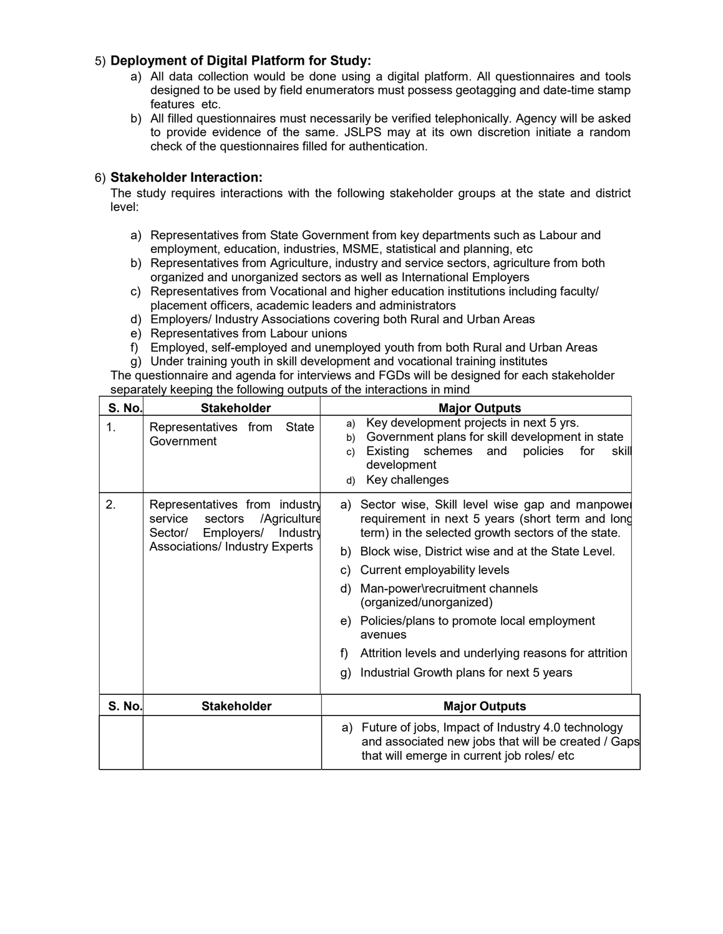## 5) Deployment of Digital Platform for Study:

- a) All data collection would be done using a digital platform. All questionnaires and tools designed to be used by field enumerators must possess geotagging and date-time stamp features etc.
- b) All filled questionnaires must necessarily be verified telephonically. Agency will be asked to provide evidence of the same. JSLPS may at its own discretion initiate a random check of the questionnaires filled for authentication.

## 6) Stakeholder Interaction:

The study requires interactions with the following stakeholder groups at the state and district level:

- a) Representatives from State Government from key departments such as Labour and employment, education, industries, MSME, statistical and planning, etc
- b) Representatives from Agriculture, industry and service sectors, agriculture from both organized and unorganized sectors as well as International Employers
- c) Representatives from Vocational and higher education institutions including faculty/ placement officers, academic leaders and administrators
- d) Employers/ Industry Associations covering both Rural and Urban Areas
- e) Representatives from Labour unions
- f) Employed, self-employed and unemployed youth from both Rural and Urban Areas
- g) Under training youth in skill development and vocational training institutes

The questionnaire and agenda for interviews and FGDs will be designed for each stakeholder separately keeping the following outputs of the interactions in mind

| <b>S. No.</b> | <b>Stakeholder</b>                                                                                                                               | <b>Major Outputs</b>                                                                                                                                                                                                                                                                                                                                                                                                                                                                                            |  |
|---------------|--------------------------------------------------------------------------------------------------------------------------------------------------|-----------------------------------------------------------------------------------------------------------------------------------------------------------------------------------------------------------------------------------------------------------------------------------------------------------------------------------------------------------------------------------------------------------------------------------------------------------------------------------------------------------------|--|
| 1.            | Representatives from<br>State<br>Government                                                                                                      | Key development projects in next 5 yrs.<br>a)<br>Government plans for skill development in state<br>b)<br>Existing<br>schemes<br>policies<br>for<br>and<br>skill<br>c)<br>development<br>Key challenges<br>d)                                                                                                                                                                                                                                                                                                   |  |
| 2.            | Representatives from industry<br>/Agriculture<br>service<br>sectors<br>Employers/<br>Industry<br>Sector/<br><b>Associations/Industry Experts</b> | a) Sector wise, Skill level wise gap and manpower<br>requirement in next 5 years (short term and long<br>term) in the selected growth sectors of the state.<br>Block wise, District wise and at the State Level.<br>b)<br>Current employability levels<br>C)<br>Man-power\recruitment channels<br>d)<br>(organized/unorganized)<br>Policies/plans to promote local employment<br>e)<br>avenues<br>Attrition levels and underlying reasons for attrition<br>f)<br>Industrial Growth plans for next 5 years<br>g) |  |
| <b>S. No.</b> | <b>Stakeholder</b>                                                                                                                               | <b>Major Outputs</b>                                                                                                                                                                                                                                                                                                                                                                                                                                                                                            |  |
|               |                                                                                                                                                  | Future of jobs, Impact of Industry 4.0 technology<br>a)<br>and associated new jobs that will be created / Gaps<br>that will emerge in current job roles/ etc                                                                                                                                                                                                                                                                                                                                                    |  |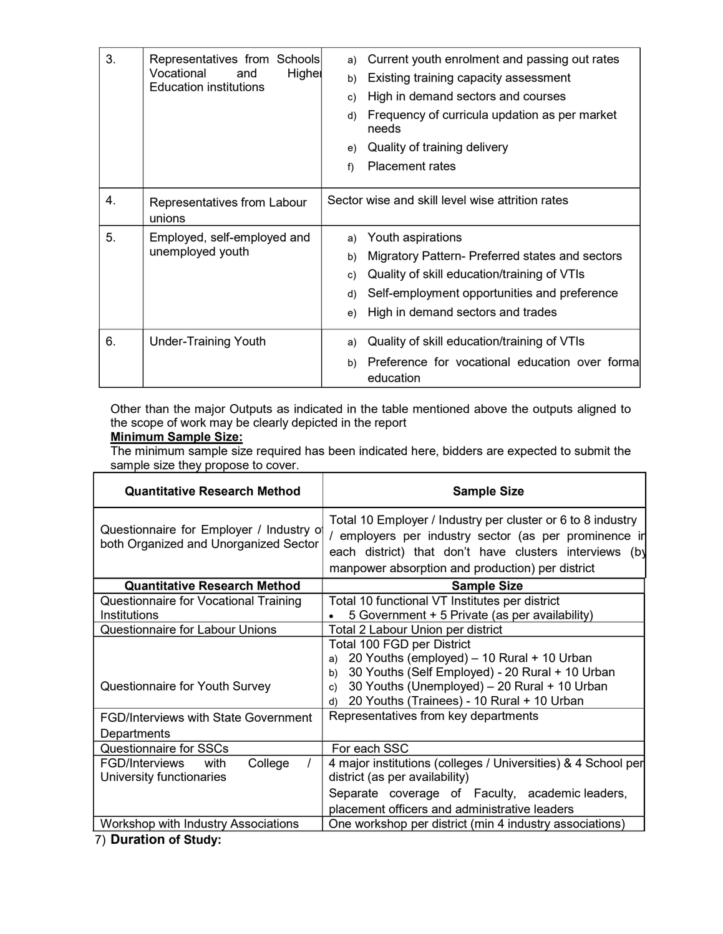| 3. | Representatives from Schools<br>Vocational<br>Higher<br>and | a)<br>b) | Current youth enrolment and passing out rates<br>Existing training capacity assessment |
|----|-------------------------------------------------------------|----------|----------------------------------------------------------------------------------------|
|    | <b>Education institutions</b>                               | c)       | High in demand sectors and courses                                                     |
|    |                                                             | d)       | Frequency of curricula updation as per market<br>needs                                 |
|    |                                                             | e)       | Quality of training delivery                                                           |
|    |                                                             | f)       | <b>Placement rates</b>                                                                 |
| 4. | Representatives from Labour<br>unions                       |          | Sector wise and skill level wise attrition rates                                       |
| 5. | Employed, self-employed and<br>unemployed youth             |          | Youth aspirations                                                                      |
|    |                                                             |          | Migratory Pattern- Preferred states and sectors                                        |
|    |                                                             |          | Quality of skill education/training of VTIs                                            |
|    |                                                             |          | Self-employment opportunities and preference                                           |
|    |                                                             | e)       | High in demand sectors and trades                                                      |
| 6. | <b>Under-Training Youth</b>                                 | a)       | Quality of skill education/training of VTIs                                            |
|    |                                                             | b)       | Preference for vocational education over formal<br>education                           |

Other than the major Outputs as indicated in the table mentioned above the outputs aligned to the scope of work may be clearly depicted in the report

# **Minimum Sample Size:**

'n

The minimum sample size required has been indicated here, bidders are expected to submit the sample size they propose to cover.

| <b>Quantitative Research Method</b>                                               | <b>Sample Size</b>                                                                                                                                                                                                                                |
|-----------------------------------------------------------------------------------|---------------------------------------------------------------------------------------------------------------------------------------------------------------------------------------------------------------------------------------------------|
| Questionnaire for Employer / Industry of<br>both Organized and Unorganized Sector | Total 10 Employer / Industry per cluster or 6 to 8 industry<br>/ employers per industry sector (as per prominence in<br>each district) that don't have clusters interviews<br>(by<br>manpower absorption and production) per district             |
| <b>Quantitative Research Method</b>                                               | <b>Sample Size</b>                                                                                                                                                                                                                                |
| Questionnaire for Vocational Training                                             | Total 10 functional VT Institutes per district                                                                                                                                                                                                    |
| Institutions                                                                      | 5 Government + 5 Private (as per availability)                                                                                                                                                                                                    |
| Questionnaire for Labour Unions                                                   | Total 2 Labour Union per district                                                                                                                                                                                                                 |
| Questionnaire for Youth Survey                                                    | Total 100 FGD per District<br>20 Youths (employed) - 10 Rural + 10 Urban<br>a)<br>30 Youths (Self Employed) - 20 Rural + 10 Urban<br>b)<br>30 Youths (Unemployed) - 20 Rural + 10 Urban<br>c)<br>20 Youths (Trainees) - 10 Rural + 10 Urban<br>d) |
| <b>FGD/Interviews with State Government</b><br>Departments                        | Representatives from key departments                                                                                                                                                                                                              |
| <b>Questionnaire for SSCs</b>                                                     | For each SSC                                                                                                                                                                                                                                      |
| FGD/Interviews<br>College<br>with<br>University functionaries                     | 4 major institutions (colleges / Universities) & 4 School per<br>district (as per availability)                                                                                                                                                   |
|                                                                                   | Separate coverage of Faculty, academic leaders,<br>placement officers and administrative leaders                                                                                                                                                  |
| Workshop with Industry Associations                                               | One workshop per district (min 4 industry associations)                                                                                                                                                                                           |

7) Duration of Study: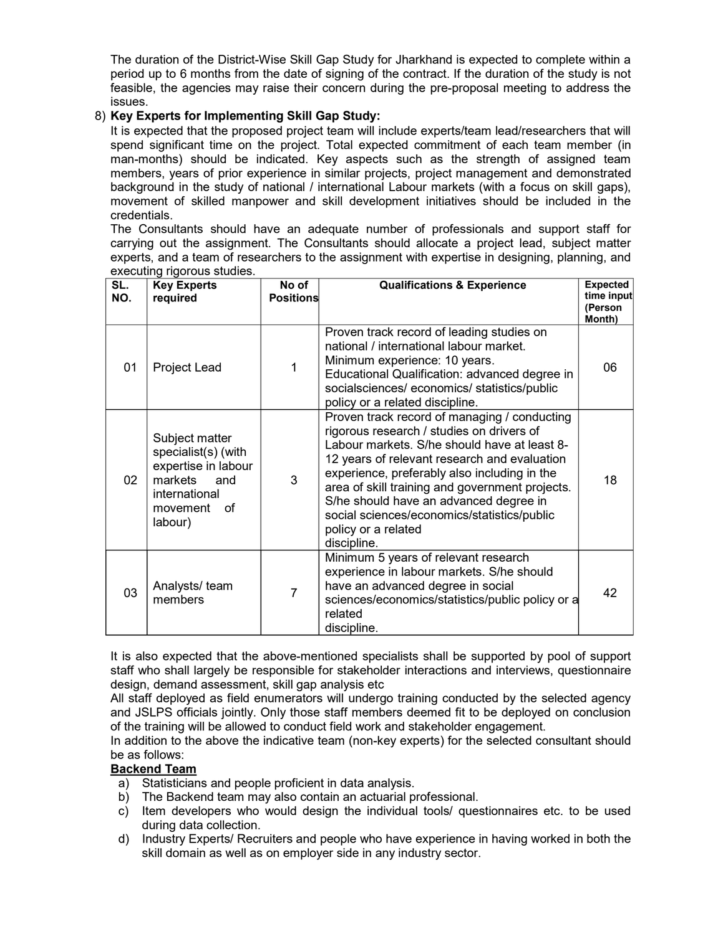The duration of the District-Wise Skill Gap Study for Jharkhand is expected to complete within a period up to 6 months from the date of signing of the contract. If the duration of the study is not feasible, the agencies may raise their concern during the pre-proposal meeting to address the issues.

## 8) Key Experts for Implementing Skill Gap Study:

It is expected that the proposed project team will include experts/team lead/researchers that will spend significant time on the project. Total expected commitment of each team member (in man-months) should be indicated. Key aspects such as the strength of assigned team members, years of prior experience in similar projects, project management and demonstrated background in the study of national / international Labour markets (with a focus on skill gaps), movement of skilled manpower and skill development initiatives should be included in the credentials.

The Consultants should have an adequate number of professionals and support staff for carrying out the assignment. The Consultants should allocate a project lead, subject matter experts, and a team of researchers to the assignment with expertise in designing, planning, and executing rigorous studies.

| SL.<br>NO. | <b>Key Experts</b><br>required                                                                                               | No of<br><b>Positions</b> | <b>Qualifications &amp; Experience</b>                                                                                                                                                                                                                                                                                                                                                                                      | <b>Expected</b><br>time input<br>(Person<br>Month) |
|------------|------------------------------------------------------------------------------------------------------------------------------|---------------------------|-----------------------------------------------------------------------------------------------------------------------------------------------------------------------------------------------------------------------------------------------------------------------------------------------------------------------------------------------------------------------------------------------------------------------------|----------------------------------------------------|
| 01         | Project Lead                                                                                                                 | 1                         | Proven track record of leading studies on<br>national / international labour market.<br>Minimum experience: 10 years.<br>Educational Qualification: advanced degree in<br>socialsciences/economics/statistics/public<br>policy or a related discipline.                                                                                                                                                                     | 06                                                 |
| 02         | Subject matter<br>specialist(s) (with<br>expertise in labour<br>markets<br>and<br>international<br>movement<br>of<br>labour) | 3                         | Proven track record of managing / conducting<br>rigorous research / studies on drivers of<br>Labour markets. S/he should have at least 8-<br>12 years of relevant research and evaluation<br>experience, preferably also including in the<br>area of skill training and government projects.<br>S/he should have an advanced degree in<br>social sciences/economics/statistics/public<br>policy or a related<br>discipline. | 18                                                 |
| 03         | Analysts/team<br>members                                                                                                     | $\overline{7}$            | Minimum 5 years of relevant research<br>experience in labour markets. S/he should<br>have an advanced degree in social<br>sciences/economics/statistics/public policy or a<br>related<br>discipline.                                                                                                                                                                                                                        | 42                                                 |

It is also expected that the above-mentioned specialists shall be supported by pool of support staff who shall largely be responsible for stakeholder interactions and interviews, questionnaire design, demand assessment, skill gap analysis etc

All staff deployed as field enumerators will undergo training conducted by the selected agency and JSLPS officials jointly. Only those staff members deemed fit to be deployed on conclusion of the training will be allowed to conduct field work and stakeholder engagement.

In addition to the above the indicative team (non-key experts) for the selected consultant should be as follows:

## Backend Team

- a) Statisticians and people proficient in data analysis.
- b) The Backend team may also contain an actuarial professional.
- c) Item developers who would design the individual tools/ questionnaires etc. to be used during data collection.
- d) Industry Experts/ Recruiters and people who have experience in having worked in both the skill domain as well as on employer side in any industry sector.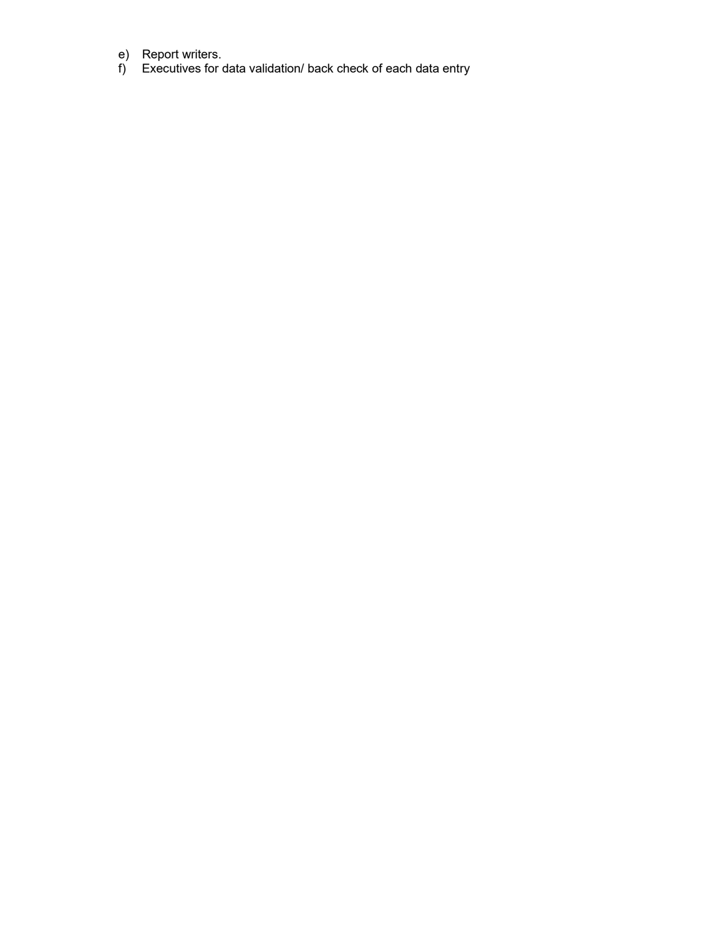- e) Report writers.
- f) Executives for data validation/ back check of each data entry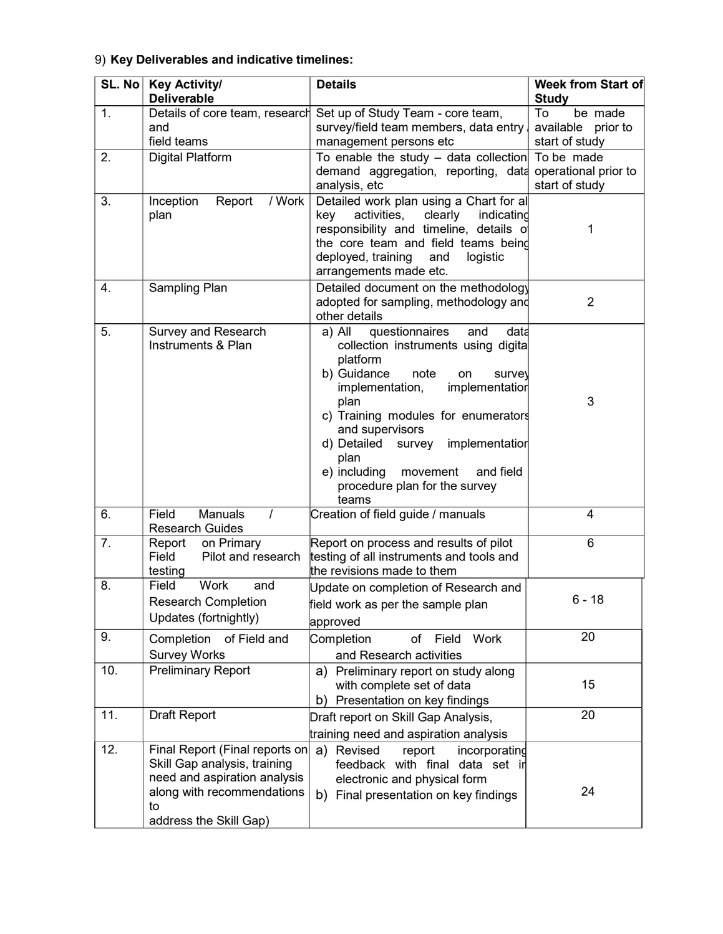# 9) Key Deliverables and indicative timelines:

| $SL.$ No | <b>Key Activity/</b><br><b>Deliverable</b>                                                                                                                   | <b>Details</b>                                                                                                                                                                                                                                                                                                                                                               | <b>Week from Start of</b><br><b>Study</b>             |
|----------|--------------------------------------------------------------------------------------------------------------------------------------------------------------|------------------------------------------------------------------------------------------------------------------------------------------------------------------------------------------------------------------------------------------------------------------------------------------------------------------------------------------------------------------------------|-------------------------------------------------------|
| 1.       | and<br>field teams                                                                                                                                           | Details of core team, research Set up of Study Team - core team,<br>survey/field team members, data entry,<br>management persons etc                                                                                                                                                                                                                                         | To<br>be made<br>available prior to<br>start of study |
| 2.       | <b>Digital Platform</b>                                                                                                                                      | To enable the study $-$ data collection<br>demand aggregation, reporting, data<br>analysis, etc                                                                                                                                                                                                                                                                              | To be made<br>operational prior to<br>start of study  |
| 3.       | / Work<br>Inception<br>Report<br>plan                                                                                                                        | Detailed work plan using a Chart for al<br>key<br>activities,<br>clearly<br>indicating<br>responsibility and timeline, details of<br>the core team and field teams being<br>deployed, training<br>and<br>logistic<br>arrangements made etc.                                                                                                                                  | 1                                                     |
| 4.       | Sampling Plan                                                                                                                                                | Detailed document on the methodology<br>adopted for sampling, methodology and<br>other details                                                                                                                                                                                                                                                                               | $\overline{2}$                                        |
| 5.       | Survey and Research<br>Instruments & Plan                                                                                                                    | questionnaires<br>a) All<br>and<br>data<br>collection instruments using digital<br>platform<br>b) Guidance<br>note<br>on<br>survey<br>implementation<br>implementation,<br>plan<br>c) Training modules for enumerators<br>and supervisors<br>d) Detailed<br>survey implementation<br>plan<br>e) including<br>movement<br>and field<br>procedure plan for the survey<br>teams | 3                                                     |
| 6.       | <b>Manuals</b><br>Field<br>T<br><b>Research Guides</b>                                                                                                       | Creation of field guide / manuals                                                                                                                                                                                                                                                                                                                                            | 4                                                     |
| 7.       | on Primary<br>Report<br>Field<br>Pilot and research<br>testing                                                                                               | Report on process and results of pilot<br>testing of all instruments and tools and<br>the revisions made to them                                                                                                                                                                                                                                                             | 6                                                     |
| 8.       | <b>Work</b><br>Field<br>and<br><b>Research Completion</b><br>Updates (fortnightly)                                                                           | Update on completion of Research and<br>field work as per the sample plan<br>approved                                                                                                                                                                                                                                                                                        | $6 - 18$                                              |
| 9.       | Completion<br>of Field and<br><b>Survey Works</b>                                                                                                            | Completion<br>of<br>Field<br>Work<br>and Research activities                                                                                                                                                                                                                                                                                                                 | 20                                                    |
| 10.      | <b>Preliminary Report</b>                                                                                                                                    | Preliminary report on study along<br>a)<br>with complete set of data<br>Presentation on key findings<br>b)                                                                                                                                                                                                                                                                   | 15                                                    |
| 11.      | <b>Draft Report</b>                                                                                                                                          | Draft report on Skill Gap Analysis,<br>training need and aspiration analysis                                                                                                                                                                                                                                                                                                 | 20                                                    |
| 12.      | Final Report (Final reports on<br>Skill Gap analysis, training<br>need and aspiration analysis<br>along with recommendations<br>to<br>address the Skill Gap) | Revised<br>a)<br>report<br>incorporating<br>feedback with final data set in<br>electronic and physical form<br>b) Final presentation on key findings                                                                                                                                                                                                                         | 24                                                    |